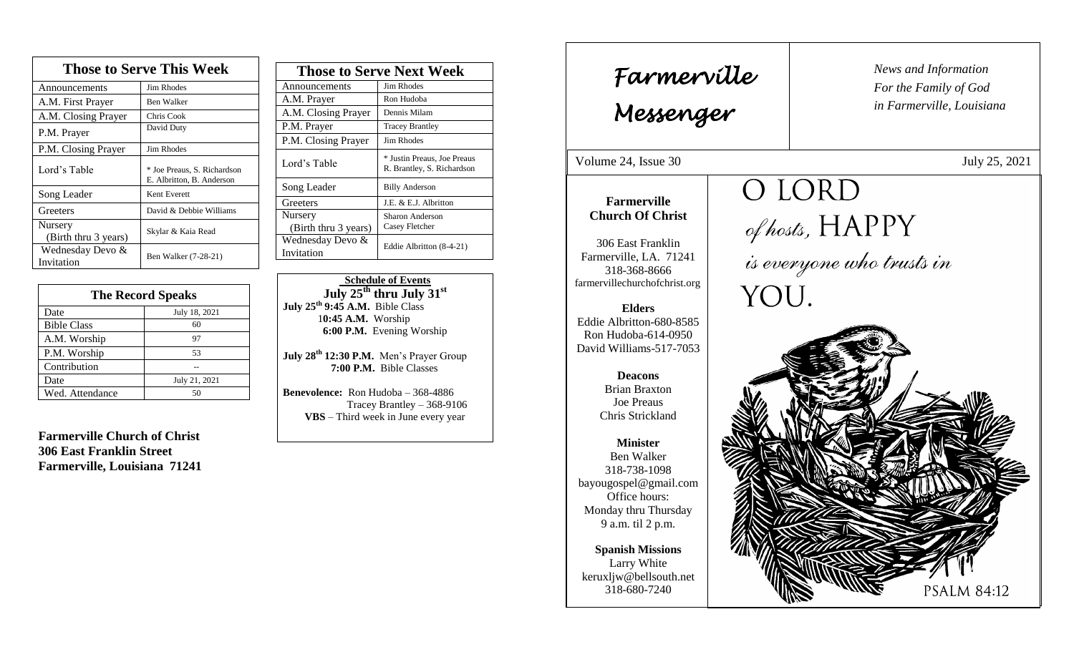| <b>Those to Serve This Week</b> |                                                          |  |
|---------------------------------|----------------------------------------------------------|--|
| Announcements                   | Jim Rhodes                                               |  |
| A.M. First Prayer               | <b>Ben Walker</b>                                        |  |
| A.M. Closing Prayer             | Chris Cook                                               |  |
| P.M. Prayer                     | David Duty                                               |  |
| P.M. Closing Prayer             | Jim Rhodes                                               |  |
| Lord's Table                    | * Joe Preaus, S. Richardson<br>E. Albritton, B. Anderson |  |
| Song Leader                     | Kent Everett                                             |  |
| Greeters                        | David & Debbie Williams                                  |  |
| Nursery<br>(Birth thru 3 years) | Skylar & Kaia Read                                       |  |
| Wednesday Devo &<br>Invitation  | Ben Walker (7-28-21)                                     |  |

| <b>The Record Speaks</b> |               |  |
|--------------------------|---------------|--|
| Date                     | July 18, 2021 |  |
| <b>Bible Class</b>       | 60            |  |
| A.M. Worship             | 97            |  |
| P.M. Worship             | 53            |  |
| Contribution             |               |  |
| Date                     | July 21, 2021 |  |
| Wed. Attendance          | 50            |  |

**Farmerville Church of Christ 306 East Franklin Street Farmerville, Louisiana 71241**

| <b>Those to Serve Next Week</b> |                                                           |
|---------------------------------|-----------------------------------------------------------|
| Announcements                   | Jim Rhodes                                                |
| A.M. Prayer                     | Ron Hudoba                                                |
| A.M. Closing Prayer             | Dennis Milam                                              |
| P.M. Prayer                     | <b>Tracey Brantley</b>                                    |
| P.M. Closing Prayer             | Jim Rhodes                                                |
| Lord's Table                    | * Justin Preaus, Joe Preaus<br>R. Brantley, S. Richardson |
| Song Leader                     | <b>Billy Anderson</b>                                     |
| Greeters                        | J.E. & E.J. Albritton                                     |
| Nursery                         | Sharon Anderson                                           |
| (Birth thru 3 years)            | Casey Fletcher                                            |
| Wednesday Devo &                | Eddie Albritton (8-4-21)                                  |
| Invitation                      |                                                           |

 **Schedule of Events July 25th thru July 31st July 25th 9:45 A.M.** Bible Class 1**0:45 A.M.** Worship  **6:00 P.M.** Evening Worship

**July 28 th 12:30 P.M.** Men's Prayer Group **7:00 P.M.** Bible Classes

**Benevolence:** Ron Hudoba – 368-4886 Tracey Brantley – 368-9106 **VBS** – Third week in June every year

*News and Information* **Farmerville**  $\begin{bmatrix} \text{News and} \end{bmatrix}$ *For the Family of God in Farmerville, Louisiana Messenger*  Volume 24, Issue 30 July 25, 2021 O LORD , 2015 **Farmerville Church Of Christ** of hosts,  $\rm HAPPY$  is everyone who trusts in 306 East Franklin Farmerville, LA. 71241 318-368-8666 farmervillechurchofchrist.org YOU. **Elders** Eddie Albritton-680-8585 Ron Hudoba-614-0950 David Williams-517-7053 **Deacons**  Brian Braxton Joe Preaus Chris Strickland **Minister** Ben Walker 318-738-1098 bayougospel@gmail.com Office hours: Monday thru Thursday 9 a.m. til 2 p.m. **Spanish Missions** Larry White keruxljw@bellsouth.net 318-680-7240 **PSALM 84:12**